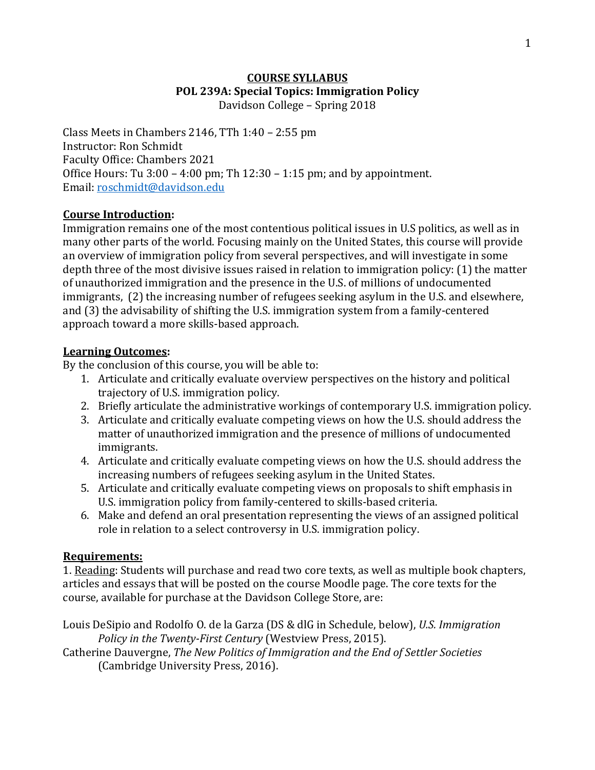### **COURSE SYLLABUS POL 239A: Special Topics: Immigration Policy** Davidson College - Spring 2018

Class Meets in Chambers 2146, TTh  $1:40 - 2:55$  pm Instructor: Ron Schmidt Faculty Office: Chambers 2021 Office Hours: Tu  $3:00 - 4:00$  pm; Th  $12:30 - 1:15$  pm; and by appointment. Email: roschmidt@davidson.edu

# **Course Introduction:**

Immigration remains one of the most contentious political issues in U.S politics, as well as in many other parts of the world. Focusing mainly on the United States, this course will provide an overview of immigration policy from several perspectives, and will investigate in some depth three of the most divisive issues raised in relation to immigration policy: (1) the matter of unauthorized immigration and the presence in the U.S. of millions of undocumented immigrants, (2) the increasing number of refugees seeking asylum in the U.S. and elsewhere, and  $(3)$  the advisability of shifting the U.S. immigration system from a family-centered approach toward a more skills-based approach.

### **Learning Outcomes:**

By the conclusion of this course, you will be able to:

- 1. Articulate and critically evaluate overview perspectives on the history and political trajectory of U.S. immigration policy.
- 2. Briefly articulate the administrative workings of contemporary U.S. immigration policy.
- 3. Articulate and critically evaluate competing views on how the U.S. should address the matter of unauthorized immigration and the presence of millions of undocumented immigrants.
- 4. Articulate and critically evaluate competing views on how the U.S. should address the increasing numbers of refugees seeking asylum in the United States.
- 5. Articulate and critically evaluate competing views on proposals to shift emphasis in U.S. immigration policy from family-centered to skills-based criteria.
- 6. Make and defend an oral presentation representing the views of an assigned political role in relation to a select controversy in U.S. immigration policy.

# **Requirements:**

1. Reading: Students will purchase and read two core texts, as well as multiple book chapters, articles and essays that will be posted on the course Moodle page. The core texts for the course, available for purchase at the Davidson College Store, are:

Louis DeSipio and Rodolfo O. de la Garza (DS & dlG in Schedule, below), *U.S. Immigration Policy in the Twenty-First Century* (Westview Press, 2015).

Catherine Dauvergne, *The New Politics of Immigration and the End of Settler Societies* (Cambridge University Press, 2016).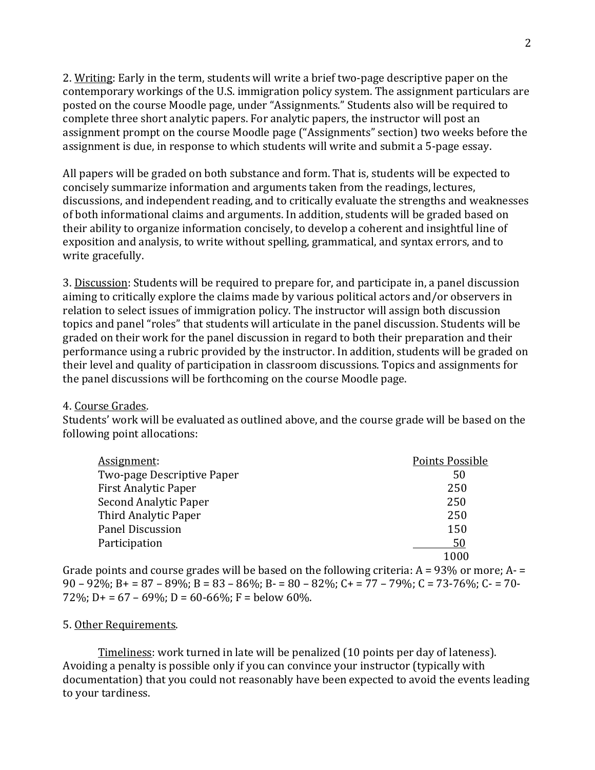2. Writing: Early in the term, students will write a brief two-page descriptive paper on the contemporary workings of the U.S. immigration policy system. The assignment particulars are posted on the course Moodle page, under "Assignments." Students also will be required to complete three short analytic papers. For analytic papers, the instructor will post an assignment prompt on the course Moodle page ("Assignments" section) two weeks before the assignment is due, in response to which students will write and submit a 5-page essay.

All papers will be graded on both substance and form. That is, students will be expected to concisely summarize information and arguments taken from the readings, lectures, discussions, and independent reading, and to critically evaluate the strengths and weaknesses of both informational claims and arguments. In addition, students will be graded based on their ability to organize information concisely, to develop a coherent and insightful line of exposition and analysis, to write without spelling, grammatical, and syntax errors, and to write gracefully.

3. Discussion: Students will be required to prepare for, and participate in, a panel discussion aiming to critically explore the claims made by various political actors and/or observers in relation to select issues of immigration policy. The instructor will assign both discussion topics and panel "roles" that students will articulate in the panel discussion. Students will be graded on their work for the panel discussion in regard to both their preparation and their performance using a rubric provided by the instructor. In addition, students will be graded on their level and quality of participation in classroom discussions. Topics and assignments for the panel discussions will be forthcoming on the course Moodle page.

### 4. Course Grades.

Students' work will be evaluated as outlined above, and the course grade will be based on the following point allocations:

| Assignment:                 | Points Possible |
|-----------------------------|-----------------|
| Two-page Descriptive Paper  | 50              |
| <b>First Analytic Paper</b> | 250             |
| Second Analytic Paper       | 250             |
| Third Analytic Paper        | 250             |
| <b>Panel Discussion</b>     | 150             |
| Participation               | 50              |
|                             | 1000            |

Grade points and course grades will be based on the following criteria:  $A = 93\%$  or more;  $A =$  $90 - 92\%$ ; B + =  $87 - 89\%$ ; B =  $83 - 86\%$ ; B -  $80 - 82\%$ ; C + =  $77 - 79\%$ ; C =  $73 - 76\%$ ; C =  $70 - 79\%$ 72%; D+ =  $67 - 69\%$ ; D =  $60 - 66\%$ ; F = below  $60\%$ .

### 5. Other Requirements.

Timeliness: work turned in late will be penalized (10 points per day of lateness). Avoiding a penalty is possible only if you can convince your instructor (typically with documentation) that you could not reasonably have been expected to avoid the events leading to your tardiness.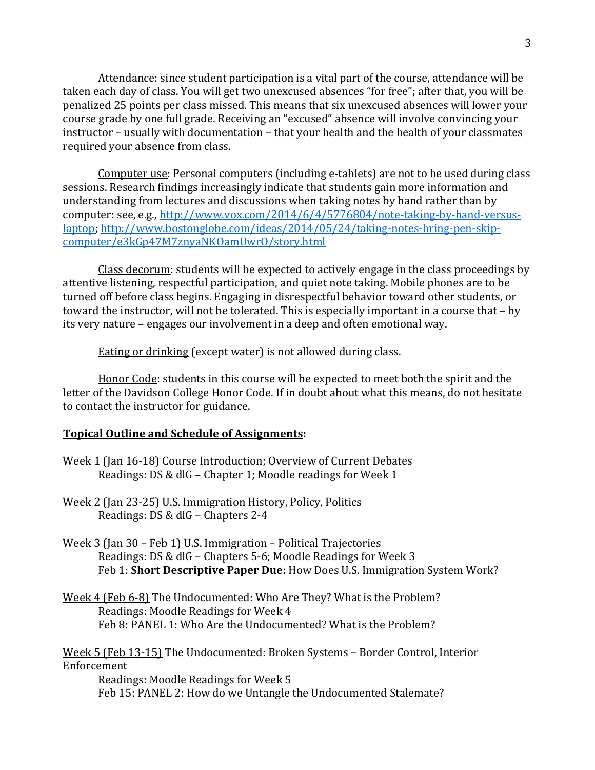Attendance: since student participation is a vital part of the course, attendance will be taken each day of class. You will get two unexcused absences "for free"; after that, you will be penalized 25 points per class missed. This means that six unexcused absences will lower your course grade by one full grade. Receiving an "excused" absence will involve convincing your instructor - usually with documentation - that your health and the health of your classmates required your absence from class.

Computer use: Personal computers (including e-tablets) are not to be used during class sessions. Research findings increasingly indicate that students gain more information and understanding from lectures and discussions when taking notes by hand rather than by computer: see, e.g., http://www.vox.com/2014/6/4/5776804/note-taking-by-hand-versuslaptop; http://www.bostonglobe.com/ideas/2014/05/24/taking-notes-bring-pen-skipcomputer/e3kGp47M7znyaNKOamUwrO/story.html

Class decorum: students will be expected to actively engage in the class proceedings by attentive listening, respectful participation, and quiet note taking. Mobile phones are to be turned off before class begins. Engaging in disrespectful behavior toward other students, or toward the instructor, will not be tolerated. This is especially important in a course that – by its very nature – engages our involvement in a deep and often emotional way.

Eating or drinking (except water) is not allowed during class.

Honor Code: students in this course will be expected to meet both the spirit and the letter of the Davidson College Honor Code. If in doubt about what this means, do not hesitate to contact the instructor for guidance.

### **Topical Outline and Schedule of Assignments:**

- Week 1 (Jan 16-18) Course Introduction; Overview of Current Debates Readings: DS & dlG – Chapter 1; Moodle readings for Week 1
- Week 2 (Jan 23-25) U.S. Immigration History, Policy, Politics Readings: DS & dlG – Chapters  $2-4$
- Week  $3$  (Jan  $30$  Feb 1) U.S. Immigration Political Trajectories Readings: DS & dlG - Chapters 5-6; Moodle Readings for Week 3 Feb 1: **Short Descriptive Paper Due:** How Does U.S. Immigration System Work?
- Week 4 (Feb 6-8) The Undocumented: Who Are They? What is the Problem? Readings: Moodle Readings for Week 4 Feb 8: PANEL 1: Who Are the Undocumented? What is the Problem?

Week 5 (Feb 13-15) The Undocumented: Broken Systems - Border Control, Interior Enforcement Readings: Moodle Readings for Week 5

Feb 15: PANEL 2: How do we Untangle the Undocumented Stalemate?